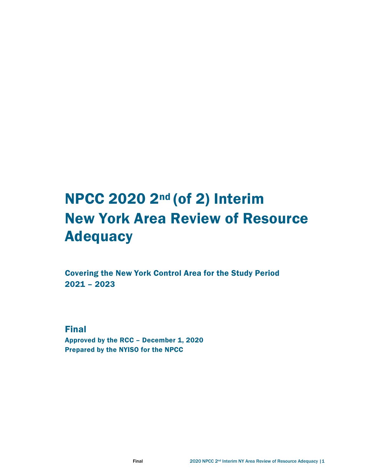# NPCC 2020 2nd (of 2) Interim New York Area Review of Resource **Adequacy**

Covering the New York Control Area for the Study Period 2021 – 2023

Final

Approved by the RCC – December 1, 2020 Prepared by the NYISO for the NPCC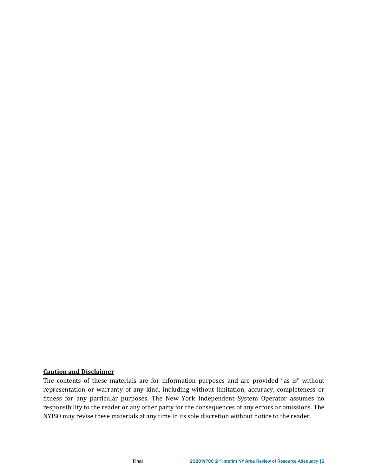## **Caution and Disclaimer**

The contents of these materials are for information purposes and are provided "as is" without representation or warranty of any kind, including without limitation, accuracy, completeness or fitness for any particular purposes. The New York Independent System Operator assumes no responsibility to the reader or any other party for the consequences of any errors or omissions. The NYISO may revise these materials at any time in its sole discretion without notice to the reader.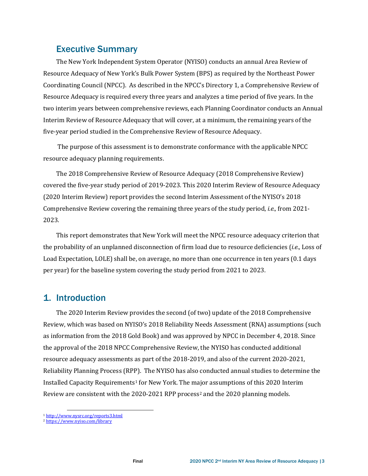## Executive Summary

The New York Independent System Operator (NYISO) conducts an annual Area Review of Resource Adequacy of New York's Bulk Power System (BPS) as required by the Northeast Power Coordinating Council (NPCC). As described in the NPCC's Directory 1, a Comprehensive Review of Resource Adequacy is required every three years and analyzes a time period of five years. In the two interim years between comprehensive reviews, each Planning Coordinator conducts an Annual Interim Review of Resource Adequacy that will cover, at a minimum, the remaining years of the five-year period studied in the Comprehensive Review of Resource Adequacy.

The purpose of this assessment is to demonstrate conformance with the applicable NPCC resource adequacy planning requirements.

The 2018 Comprehensive Review of Resource Adequacy (2018 Comprehensive Review) covered the five-year study period of 2019-2023. This 2020 Interim Review of Resource Adequacy (2020 Interim Review) report provides the second Interim Assessment of the NYISO's 2018 Comprehensive Review covering the remaining three years of the study period, *i.e.,* from 2021- 2023.

This report demonstrates that New York will meet the NPCC resource adequacy criterion that the probability of an unplanned disconnection of firm load due to resource deficiencies (*i.e.,* Loss of Load Expectation, LOLE) shall be, on average, no more than one occurrence in ten years (0.1 days per year) for the baseline system covering the study period from 2021 to 2023.

# 1. Introduction

The 2020 Interim Review provides the second (of two) update of the 2018 Comprehensive Review, which was based on NYISO's 2018 Reliability Needs Assessment (RNA) assumptions (such as information from the 2018 Gold Book) and was approved by NPCC in December 4, 2018. Since the approval of the 2018 NPCC Comprehensive Review, the NYISO has conducted additional resource adequacy assessments as part of the 2018-2019, and also of the current 2020-2021, Reliability Planning Process (RPP). The NYISO has also conducted annual studies to determine the Installed Capacity Requirements[1](#page-2-0) for New York. The major assumptions of this 2020 Interim Review are consistent with the [2](#page-2-1)020-2021 RPP process<sup>2</sup> and the 2020 planning models.

<span id="page-2-0"></span><sup>1</sup> <http://www.nysrc.org/reports3.html>

<span id="page-2-1"></span><sup>2</sup> <https://www.nyiso.com/library>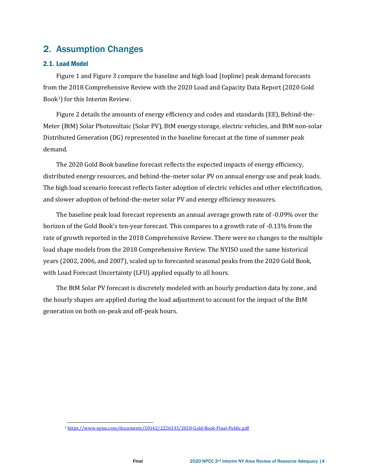# 2. Assumption Changes

#### 2.1. Load Model

[Figure 1](#page-4-0) and [Figure 3](#page-4-1) compare the baseline and high load (topline) peak demand forecasts from the 2018 Comprehensive Review with the 2020 Load and Capacity Data Report (2020 Gold Book[3\)](#page-3-0) for this Interim Review.

[Figure 2](#page-4-2) details the amounts of energy efficiency and codes and standards (EE), Behind-the-Meter (BtM) Solar Photovoltaic (Solar PV), BtM energy storage, electric vehicles, and BtM non-solar Distributed Generation (DG) represented in the baseline forecast at the time of summer peak demand.

The 2020 Gold Book baseline forecast reflects the expected impacts of energy efficiency, distributed energy resources, and behind-the-meter solar PV on annual energy use and peak loads. The high load scenario forecast reflects faster adoption of electric vehicles and other electrification, and slower adoption of behind-the-meter solar PV and energy efficiency measures.

The baseline peak load forecast represents an annual average growth rate of -0.09% over the horizon of the Gold Book's ten-year forecast. This compares to a growth rate of -0.13% from the rate of growth reported in the 2018 Comprehensive Review. There were no changes to the multiple load shape models from the 2018 Comprehensive Review. The NYISO used the same historical years (2002, 2006, and 2007), scaled up to forecasted seasonal peaks from the 2020 Gold Book, with Load Forecast Uncertainty (LFU) applied equally to all hours.

The BtM Solar PV forecast is discretely modeled with an hourly production data by zone, and the hourly shapes are applied during the load adjustment to account for the impact of the BtM generation on both on-peak and off-peak hours.

<span id="page-3-0"></span><sup>3</sup> <https://www.nyiso.com/documents/20142/2226333/2020-Gold-Book-Final-Public.pdf>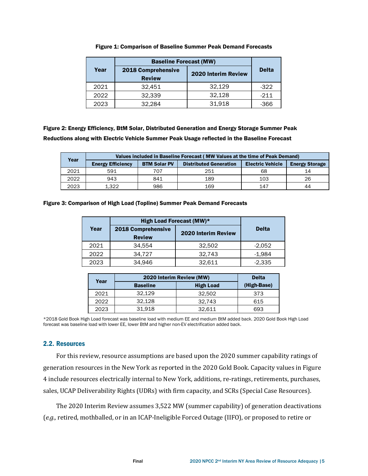<span id="page-4-0"></span>

|      | <b>Baseline Forecast (MW)</b>       |                            |              |
|------|-------------------------------------|----------------------------|--------------|
| Year | 2018 Comprehensive<br><b>Review</b> | <b>2020 Interim Review</b> | <b>Delta</b> |
| 2021 | 32.451                              | 32.129                     | $-322$       |
| 2022 | 32,339                              | 32,128                     | $-211$       |
| 2023 | 32.284                              | 31,918                     | $-366$       |

Figure 1: Comparison of Baseline Summer Peak Demand Forecasts

<span id="page-4-2"></span>Figure 2: Energy Efficiency, BtM Solar, Distributed Generation and Energy Storage Summer Peak Reductions along with Electric Vehicle Summer Peak Usage reflected in the Baseline Forecast

| Year | Values included in Baseline Forecast (MW Values at the time of Peak Demand) |                     |                               |                         |                       |  |
|------|-----------------------------------------------------------------------------|---------------------|-------------------------------|-------------------------|-----------------------|--|
|      | <b>Energy Efficiency</b>                                                    | <b>BTM Solar PV</b> | <b>Distributed Generation</b> | <b>Electric Vehicle</b> | <b>Energy Storage</b> |  |
| 2021 | 591                                                                         | 707                 | 251                           | 68                      | 14                    |  |
| 2022 | 943                                                                         | 841                 | 189                           | 103                     | 26                    |  |
| 2023 | 1.322                                                                       | 986                 | 169                           | 147                     | 44                    |  |

<span id="page-4-1"></span>Figure 3: Comparison of High Load (Topline) Summer Peak Demand Forecasts

|      | High Load Forecast (MW)* |                     |              |
|------|--------------------------|---------------------|--------------|
| Year | 2018 Comprehensive       | 2020 Interim Review | <b>Delta</b> |
|      | <b>Review</b>            |                     |              |
| 2021 | 34.554                   | 32,502              | $-2.052$     |
| 2022 | 34.727                   | 32.743              | -1.984       |
| 2023 | 34.946                   | 32.611              | $-2,335$     |

| Year | 2020 Interim Review (MW) | <b>Delta</b>     |             |
|------|--------------------------|------------------|-------------|
|      | <b>Baseline</b>          | <b>High Load</b> | (High-Base) |
| 2021 | 32.129                   | 32.502           | 373         |
| 2022 | 32.128                   | 32.743           | 615         |
| 2023 | 31,918                   | 32.611           | 693         |

\*2018 Gold Book High Load forecast was baseline load with medium EE and medium BtM added back. 2020 Gold Book High Load forecast was baseline load with lower EE, lower BtM and higher non-EV electrification added back.

### 2.2. Resources

For this review, resource assumptions are based upon the 2020 summer capability ratings of generation resources in the New York as reported in the 2020 Gold Book. Capacity values in [Figure](#page-5-0)  [4](#page-5-0) include resources electrically internal to New York, additions, re-ratings, retirements, purchases, sales, UCAP Deliverability Rights (UDRs) with firm capacity, and SCRs (Special Case Resources).

The 2020 Interim Review assumes 3,522 MW (summer capability) of generation deactivations (*e.g.,* retired, mothballed, or in an ICAP-Ineligible Forced Outage (IIFO), or proposed to retire or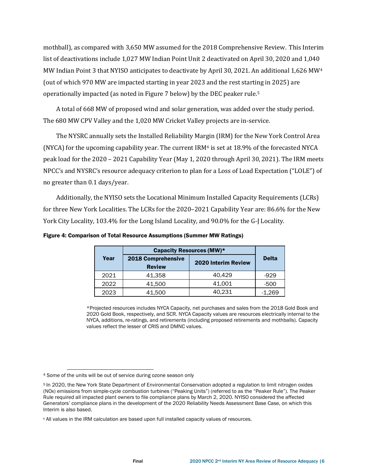mothball), as compared with 3,650 MW assumed for the 2018 Comprehensive Review. This Interim list of deactivations include 1,027 MW Indian Point Unit 2 deactivated on April 30, 2020 and 1,040 MW Indian Point 3 that NYISO anticipates to deactivate by April 30, 2021. An additional 1,626 MW[4](#page-5-1) (out of which 970 MW are impacted starting in year 2023 and the rest starting in 2025) are operationally impacted (as noted i[n Figure 7](#page-8-0) below) by the DEC peaker rule.[5](#page-5-2)

A total of 668 MW of proposed wind and solar generation, was added over the study period. The 680 MW CPV Valley and the 1,020 MW Cricket Valley projects are in-service.

The NYSRC annually sets the Installed Reliability Margin (IRM) for the New York Control Area (NYCA) for the upcoming capability year. The current  $IRM<sup>6</sup>$  $IRM<sup>6</sup>$  $IRM<sup>6</sup>$  is set at 18.9% of the forecasted NYCA peak load for the 2020 – 2021 Capability Year (May 1, 2020 through April 30,2021). The IRM meets NPCC's and NYSRC's resource adequacy criterion to plan for a Loss of Load Expectation ("LOLE") of no greater than 0.1 days/year.

Additionally, the NYISO sets the Locational Minimum Installed Capacity Requirements (LCRs) for three New York Localities. The LCRs for the 2020–2021 Capability Year are: 86.6% for the New York City Locality, 103.4% for the Long Island Locality, and 90.0% for the G-J Locality.

|      | Capacity Resources (MW)*            |                     |              |
|------|-------------------------------------|---------------------|--------------|
| Year | 2018 Comprehensive<br><b>Review</b> | 2020 Interim Review | <b>Delta</b> |
| 2021 | 41,358                              | 40.429              | -929         |
| 2022 | 41.500                              | 41.001              | -500         |
| 2023 | 41.500                              | 40.231              | -1.269       |

<span id="page-5-0"></span>Figure 4: Comparison of Total Resource Assumptions (Summer MW Ratings)

\*Projected resources includes NYCA Capacity, net purchases and sales from the 2018 Gold Book and 2020 Gold Book, respectively, and SCR. NYCA Capacity values are resources electrically internal to the NYCA, additions, re-ratings, and retirements (including proposed retirements and mothballs). Capacity values reflect the lesser of CRIS and DMNC values.

<span id="page-5-1"></span><sup>4</sup> Some of the units will be out of service during ozone season only

<span id="page-5-2"></span><sup>5</sup> In 2020, the New York State Department of Environmental Conservation adopted a regulation to limit nitrogen oxides (NOx) emissions from simple-cycle combustion turbines ("Peaking Units") (referred to as the "Peaker Rule"). The Peaker Rule required all impacted plant owners to file compliance plans by March 2, 2020. NYISO considered the affected Generators' compliance plans in the development of the 2020 Reliability Needs Assessment Base Case, on which this Interim is also based.

<span id="page-5-3"></span><sup>6</sup> All values in the IRM calculation are based upon full installed capacity values of resources.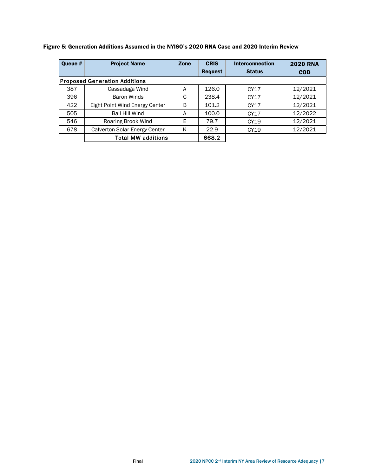| Queue # | <b>Project Name</b>                  | Zone | <b>CRIS</b>    | <b>Interconnection</b> | <b>2020 RNA</b> |
|---------|--------------------------------------|------|----------------|------------------------|-----------------|
|         |                                      |      | <b>Request</b> | <b>Status</b>          | <b>COD</b>      |
|         | <b>Proposed Generation Additions</b> |      |                |                        |                 |
| 387     | Cassadaga Wind                       | A    | 126.0          | CY17                   | 12/2021         |
| 396     | Baron Winds                          | C    | 238.4          | CY17                   | 12/2021         |
| 422     | Eight Point Wind Energy Center       | B    | 101.2          | CY17                   | 12/2021         |
| 505     | <b>Ball Hill Wind</b>                | A    | 100.0          | CY17                   | 12/2022         |
| 546     | Roaring Brook Wind                   | Е    | 79.7           | CY19                   | 12/2021         |
| 678     | Calverton Solar Energy Center        | K    | 22.9           | CY19                   | 12/2021         |
|         | <b>Total MW additions</b>            |      | 668.2          |                        |                 |

### Figure 5: Generation Additions Assumed in the NYISO's 2020 RNA Case and 2020 Interim Review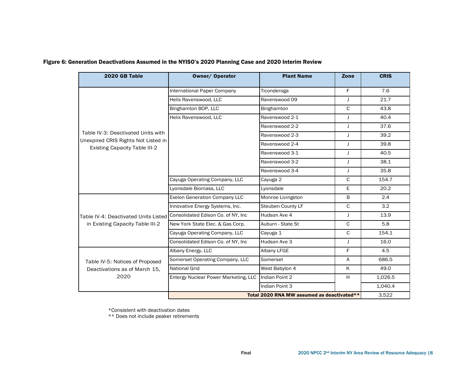| 2020 GB Table                                                               | <b>Owner/ Operator</b>               | <b>Plant Name</b>                          | Zone         | <b>CRIS</b> |
|-----------------------------------------------------------------------------|--------------------------------------|--------------------------------------------|--------------|-------------|
|                                                                             | International Paper Company          | Ticonderoga                                | F            | 7.6         |
|                                                                             | Helix Ravenswood, LLC                | Ravenswood 09                              | J            | 21.7        |
|                                                                             | Binghamton BOP, LLC                  | Binghamton                                 | C            | 43.8        |
|                                                                             | Helix Ravenswood, LLC                | Ravenswood 2-1                             | J            | 40.4        |
|                                                                             |                                      | Ravenswood 2-2                             | J            | 37.6        |
| Table IV-3: Deactivated Units with                                          |                                      | Ravenswood 2-3                             | J            | 39.2        |
| Unexpired CRIS Rights Not Listed in<br><b>Existing Capacity Table III-2</b> |                                      | Ravenswood 2-4                             | J            | 39.8        |
|                                                                             |                                      | Ravenswood 3-1                             | J            | 40.5        |
|                                                                             |                                      | Ravenswood 3-2                             | J            | 38.1        |
|                                                                             |                                      | Ravenswood 3-4                             | J            | 35.8        |
|                                                                             | Cayuga Operating Company, LLC        | Cayuga 2                                   | $\mathsf{C}$ | 154.7       |
|                                                                             | Lyonsdale Biomass, LLC               | Lyonsdale                                  | E.           | 20.2        |
|                                                                             | <b>Exelon Generation Company LLC</b> | Monroe Livingston                          | B            | 2.4         |
|                                                                             | Innovative Energy Systems, Inc.      | <b>Steuben County LF</b>                   | C            | 3.2         |
| Table IV-4: Deactivated Units Listed Consolidated Edison Co. of NY, Inc     |                                      | Hudson Ave 4                               | J.           | 13.9        |
| in Existing Capacity Table III-2                                            | New York State Elec. & Gas Corp.     | Auburn - State St                          | C            | 5.8         |
|                                                                             | Cayuga Operating Company, LLC        | Cayuga 1                                   | C            | 154.1       |
|                                                                             | Consolidated Edison Co. of NY, Inc.  | Hudson Ave 3                               | J            | 16.0        |
|                                                                             | Albany Energy, LLC                   | Albany LFGE                                | F            | 4.5         |
| Table IV-5: Notices of Proposed<br>Deactivations as of March 15,            | Somerset Operating Company, LLC      | Somerset                                   | A            | 686.5       |
|                                                                             | <b>National Grid</b>                 | West Babylon 4                             | K            | 49.0        |
| 2020                                                                        | Entergy Nuclear Power Marketing, LLC | Indian Point 2                             | H            | 1,026.5     |
|                                                                             |                                      | Indian Point 3                             |              | 1,040.4     |
|                                                                             |                                      | Total 2020 RNA MW assumed as deactivated** |              | 3.522       |

#### Figure 6: Generation Deactivations Assumed in the NYISO's 2020 Planning Case and 2020 Interim Review

\*Consistent with deactivation dates

\*\* Does not include peaker retirements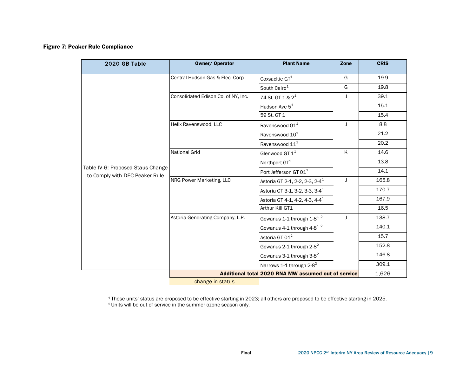#### Figure 7: Peaker Rule Compliance

<span id="page-8-0"></span>

| 2020 GB Table                                                       | Owner/ Operator                     | <b>Plant Name</b>                                   | Zone | <b>CRIS</b> |
|---------------------------------------------------------------------|-------------------------------------|-----------------------------------------------------|------|-------------|
|                                                                     | Central Hudson Gas & Elec. Corp.    | Coxsackie $GT^1$                                    | G    | 19.9        |
|                                                                     |                                     | South Cairo <sup>1</sup>                            | G    | 19.8        |
|                                                                     | Consolidated Edison Co. of NY, Inc. | 74 St. GT 1 & 2 <sup>1</sup>                        | J    | 39.1        |
|                                                                     |                                     | Hudson Ave 5 <sup>1</sup>                           |      | 15.1        |
|                                                                     |                                     | 59 St. GT 1                                         |      | 15.4        |
|                                                                     | Helix Ravenswood, LLC               | Ravenswood 01 <sup>1</sup>                          | J    | 8.8         |
|                                                                     |                                     | Ravenswood 10 <sup>1</sup>                          |      | 21.2        |
|                                                                     |                                     | Ravenswood 11 <sup>1</sup>                          |      | 20.2        |
|                                                                     | <b>National Grid</b>                | Glenwood GT $1^1$                                   | K    | 14.6        |
|                                                                     |                                     | Northport GT <sup>1</sup>                           |      | 13.8        |
| Table IV-6: Proposed Staus Change<br>to Comply with DEC Peaker Rule |                                     | Port Jefferson GT 01 <sup>1</sup>                   |      | 14.1        |
|                                                                     | NRG Power Marketing, LLC            | Astoria GT 2-1, 2-2, 2-3, 2-4 <sup>1</sup>          | J    | 165.8       |
|                                                                     |                                     | Astoria GT 3-1, 3-2, 3-3, 3-4 <sup>1</sup>          |      | 170.7       |
|                                                                     |                                     | Astoria GT 4-1, 4-2, 4-3, 4-4 <sup>1</sup>          |      | 167.9       |
|                                                                     |                                     | Arthur Kill GT1                                     |      | 16.5        |
|                                                                     | Astoria Generating Company, L.P.    | Gowanus 1-1 through $1-8^{1/2}$                     | J    | 138.7       |
|                                                                     |                                     | Gowanus 4-1 through 4-8 <sup>1, 2</sup>             |      | 140.1       |
|                                                                     |                                     | Astoria GT 01 <sup>2</sup>                          |      | 15.7        |
|                                                                     |                                     | Gowanus 2-1 through 2-8 <sup>2</sup>                |      | 152.8       |
|                                                                     |                                     | Gowanus 3-1 through 3-8 <sup>2</sup>                |      | 146.8       |
|                                                                     |                                     | Narrows 1-1 through $2-8^2$                         |      | 309.1       |
|                                                                     |                                     | Additional total 2020 RNA MW assumed out of service |      | 1,626       |

change in status

<sup>1</sup> These units' status are proposed to be effective starting in 2023; all others are proposed to be effective starting in 2025. <sup>2</sup> Units will be out of service in the summer ozone season only.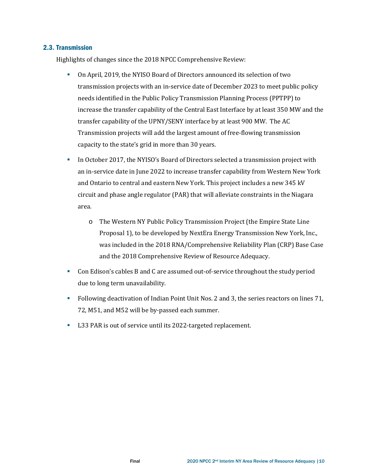#### 2.3. Transmission

Highlights of changes since the 2018 NPCC Comprehensive Review:

- On April, 2019, the NYISO Board of Director[s announced its selection](https://www.nyiso.com/documents/20142/1390750/Board-Decision-AC-Transmission-2019-04-08.pdf/32323d32-f534-a790-1b03-2cb110033320) of two transmission projects with an in-service date of December 2023 to meet public policy needs identified in the Public Policy Transmission Planning Process (PPTPP) to increase the transfer capability of the Central East Interface by at least 350 MW and the transfer capability of the UPNY/SENY interface by at least 900 MW. The AC Transmission projects will add the largest amount of free-flowing transmission capacity to the state's grid in more than 30 years.
- In October 2017, the NYISO's Board of Directors selected a transmission project with an in-service date in June 2022 to increase transfer capability from Western New York and Ontario to central and eastern New York. This project includes a new 345 kV circuit and phase angle regulator (PAR) that will alleviate constraints in the Niagara area.
	- o The Western NY Public Policy Transmission Project (the Empire State Line Proposal 1), to be developed by NextEra Energy Transmission New York, Inc., was included in the 2018 RNA/Comprehensive Reliability Plan (CRP) Base Case and the 2018 Comprehensive Review of Resource Adequacy.
- Con Edison's cables B and C are assumed out-of-service throughout the study period due to long term unavailability.
- Following deactivation of Indian Point Unit Nos. 2 and 3, the series reactors on lines 71, 72, M51, and M52 will be by-passed each summer.
- L33 PAR is out of service until its 2022-targeted replacement.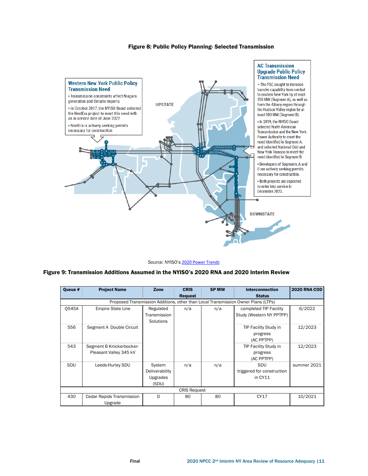#### Figure 8: Public Policy Planning- Selected Transmission



Source: NYISO's 2020 [Power Trends](https://www.nyiso.com/documents/20142/2223020/2019-Power-Trends-Report.pdf/0e8d65ee-820c-a718-452c-6c59b2d4818b)

#### Figure 9: Transmission Additions Assumed in the NYISO's 2020 RNA and 2020 Interim Review

| Oueue #    | <b>Project Name</b>       | Zone           | <b>CRIS</b>    | <b>SP MW</b> | <b>Interconnection</b>                                                            | <b>2020 RNA COD</b> |
|------------|---------------------------|----------------|----------------|--------------|-----------------------------------------------------------------------------------|---------------------|
|            |                           |                | <b>Request</b> |              | <b>Status</b>                                                                     |                     |
|            |                           |                |                |              | Proposed Transmission Additions, other than Local Transmission Owner Plans (LTPs) |                     |
| 0545A      | <b>Empire State Line</b>  | Regulated      | n/a            | n/a          | completed TIP Facility                                                            | 6/2022              |
|            |                           | Transmission   |                |              | Study (Western NY PPTPP)                                                          |                     |
|            |                           | Solutions      |                |              |                                                                                   |                     |
| 556        | Segment A Double Circuit  |                |                |              | TIP Facility Study in                                                             | 12/2023             |
|            |                           |                |                |              | progress                                                                          |                     |
|            |                           |                |                |              | (AC PPTPP)                                                                        |                     |
| 543        | Segment B Knickerbocker-  |                |                |              | TIP Facility Study in                                                             | 12/2023             |
|            | Pleasant Valley 345 kV    |                |                |              | progress                                                                          |                     |
|            |                           |                |                |              | (AC PPTPP)                                                                        |                     |
| <b>SDU</b> | Leeds-Hurley SDU          | System         | n/a            | n/a          | SDU                                                                               | summer 2021         |
|            |                           | Deliverability |                |              | triggered for construction                                                        |                     |
|            |                           | Upgrades       |                |              | in CY11                                                                           |                     |
|            |                           | (SDU)          |                |              |                                                                                   |                     |
|            | <b>CRIS Request</b>       |                |                |              |                                                                                   |                     |
| 430        | Cedar Rapids Transmission | D.             | 80             | 80           | CY17                                                                              | 10/2021             |
|            | Upgrade                   |                |                |              |                                                                                   |                     |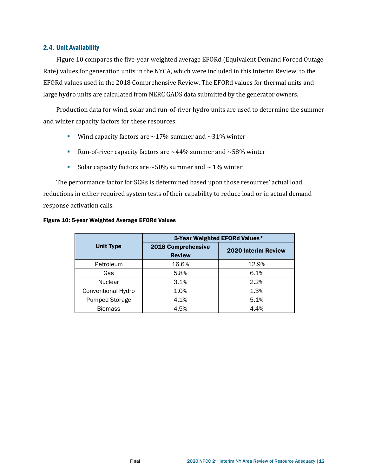#### 2.4. Unit Availability

[Figure 10](#page-11-0) compares the five-year weighted average EFORd (Equivalent Demand Forced Outage Rate) values for generation units in the NYCA, which were included in this Interim Review, to the EFORd values used in the 2018 Comprehensive Review. The EFORd values for thermal units and large hydro units are calculated from NERC GADS data submitted by the generator owners.

Production data for wind, solar and run-of-river hydro units are used to determine the summer and winter capacity factors for these resources:

- Wind capacity factors are  $\sim$  17% summer and  $\sim$  31% winter
- Run-of-river capacity factors are  $\sim$  44% summer and  $\sim$  58% winter
- Solar capacity factors are  $\sim$  50% summer and  $\sim$  1% winter

The performance factor for SCRs is determined based upon those resources' actual load reductions in either required system tests of their capability to reduce load or in actual demand response activation calls.

|                       | 5-Year Weighted EFORd Values*       |                     |  |  |
|-----------------------|-------------------------------------|---------------------|--|--|
| <b>Unit Type</b>      | 2018 Comprehensive<br><b>Review</b> | 2020 Interim Review |  |  |
| Petroleum             | 16.6%                               | 12.9%               |  |  |
| Gas                   | 5.8%                                | 6.1%                |  |  |
| <b>Nuclear</b>        | 3.1%                                | 2.2%                |  |  |
| Conventional Hydro    | 1.0%                                | 1.3%                |  |  |
| <b>Pumped Storage</b> | 4.1%                                | 5.1%                |  |  |
| <b>Biomass</b>        | 4.5%                                | 4.4%                |  |  |

#### <span id="page-11-0"></span>Figure 10: 5-year Weighted Average EFORd Values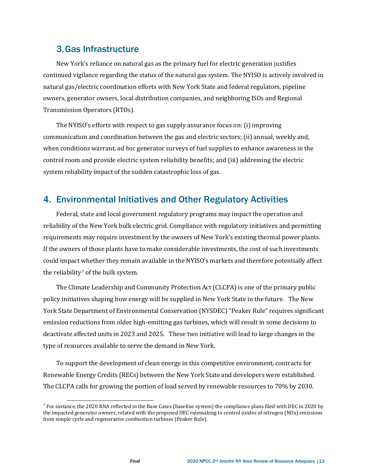## 3.Gas Infrastructure

New York's reliance on natural gas as the primary fuel for electric generation justifies continued vigilance regarding the status of the natural gas system. The NYISO is actively involved in natural gas/electric coordination efforts with New York State and federal regulators, pipeline owners, generator owners, local distribution companies, and neighboring ISOs and Regional Transmission Operators (RTOs).

The NYISO's efforts with respect to gas supply assurance focus on: (i) improving communication and coordination between the gas and electric sectors; (ii) annual, weekly and, when conditions warrant, *ad hoc* generator surveys of fuel supplies to enhance awareness in the control room and provide electric system reliability benefits; and (iii) addressing the electric system reliability impact of the sudden catastrophic loss of gas.

## 4. Environmental Initiatives and Other Regulatory Activities

Federal, state and local government regulatory programs may impact the operation and reliability of the New York bulk electric grid. Compliance with regulatory initiatives and permitting requirements may require investment by the owners of New York's existing thermal power plants. If the owners of those plants have to make considerable investments, the cost of such investments could impact whether they remain available in the NYISO's markets and therefore potentially affect the reliability<sup>[7](#page-12-0)</sup> of the bulk system.

The Climate Leadership and Community Protection Act (CLCPA) is one of the primary public policy initiatives shaping how energy will be supplied in New York State in the future. The New York State Department of Environmental Conservation (NYSDEC) "Peaker Rule" requires significant emission reductions from older high-emitting gas turbines, which will result in some decisions to deactivate affected units in 2023 and 2025. These two initiative will lead to large changes in the type of resources available to serve the demand in New York.

To support the development of clean energy in this competitive environment, contracts for Renewable Energy Credits (RECs) between the New York State and developers were established. The CLCPA calls for growing the portion of load served by renewable resources to 70% by 2030.

<span id="page-12-0"></span> $^7$  For instance, the 2020 RNA reflected in the Base Cases (baseline system) the compliance plans filed with DEC in 2020 by the impacted generator owners, related with the proposed DEC rulemaking to control oxides of nitrogen (NOx) emissions from simple cycle and regenerative combustion turbines (Peaker Rule).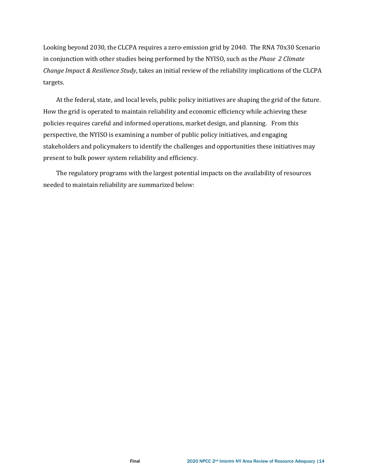Looking beyond 2030, the CLCPA requires a zero-emission grid by 2040. The RNA 70x30 Scenario in conjunction with other studies being performed by the NYISO, such as the *Phase 2 Climate Change Impact & Resilience Study*, takes an initial review of the reliability implications of the CLCPA targets.

At the federal, state, and local levels, public policy initiatives are shaping the grid of the future. How the grid is operated to maintain reliability and economic efficiency while achieving these policies requires careful and informed operations, market design, and planning. From this perspective, the NYISO is examining a number of public policy initiatives, and engaging stakeholders and policymakers to identify the challenges and opportunities these initiatives may present to bulk power system reliability and efficiency.

The regulatory programs with the largest potential impacts on the availability of resources needed to maintain reliability are summarized below: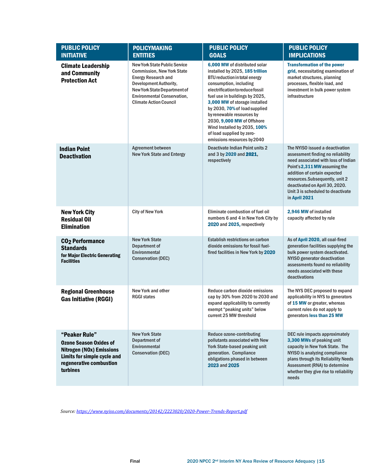| <b>PUBLIC POLICY</b><br><b>INITIATIVE</b>                                                                                                               | <b>POLICYMAKING</b><br><b>ENTITIES</b>                                                                                                                                                                                                                                                                                                                                                                                                                                                                                                                                                                                                                                       | <b>PUBLIC POLICY</b><br><b>GOALS</b>                                                                                                                                     | <b>PUBLIC POLICY</b><br><b>IMPLICATIONS</b>                                                                                                                                                                                                                                                            |
|---------------------------------------------------------------------------------------------------------------------------------------------------------|------------------------------------------------------------------------------------------------------------------------------------------------------------------------------------------------------------------------------------------------------------------------------------------------------------------------------------------------------------------------------------------------------------------------------------------------------------------------------------------------------------------------------------------------------------------------------------------------------------------------------------------------------------------------------|--------------------------------------------------------------------------------------------------------------------------------------------------------------------------|--------------------------------------------------------------------------------------------------------------------------------------------------------------------------------------------------------------------------------------------------------------------------------------------------------|
| <b>Climate Leadership</b><br>and Community<br><b>Protection Act</b>                                                                                     | <b>New York State Public Service</b><br>6,000 MW of distributed solar<br><b>Commission, New York State</b><br>installed by 2025, 185 trillion<br><b>Energy Research and</b><br><b>BTU reduction in total energy</b><br>Development Authority,<br>consumption, including<br>New York State Department of<br>electrification to reduce fossil<br><b>Environmental Conservation,</b><br>fuel use in buildings by 2025,<br><b>Climate Action Council</b><br>3,000 MW of storage installed<br>by 2030, 70% of load supplied<br>by renewable resources by<br>2030, 9,000 MW of Offshore<br>Wind Installed by 2035, 100%<br>of load supplied by zero-<br>emissions resources by2040 |                                                                                                                                                                          | <b>Transformation of the power</b><br>grid, necessitating examination of<br>market structures, planning<br>processes, flexible load, and<br>investment in bulk power system<br>infrastructure                                                                                                          |
| <b>Indian Point</b><br><b>Deactivation</b>                                                                                                              | Agreement between<br>Deactivate Indian Point units 2<br><b>New York State and Entergy</b><br>and 3 by 2020 and 2021,<br>respectively                                                                                                                                                                                                                                                                                                                                                                                                                                                                                                                                         |                                                                                                                                                                          | The NYISO issued a deactivation<br>assessment finding no reliability<br>need associated with loss of Indian<br>Point's 2,311 MW assuming the<br>addition of certain expected<br>resources.Subsequently, unit 2<br>deactivated on April 30, 2020.<br>Unit 3 is scheduled to deactivate<br>in April 2021 |
| <b>New York City</b><br><b>Residual Oil</b><br><b>Elimination</b>                                                                                       | <b>City of New York</b>                                                                                                                                                                                                                                                                                                                                                                                                                                                                                                                                                                                                                                                      | Eliminate combustion of fuel oil<br>numbers 6 and 4 in New York City by<br>2020 and 2025, respectively                                                                   | 2,946 MW of installed<br>capacity affected by rule                                                                                                                                                                                                                                                     |
| CO <sub>2</sub> Performance<br><b>Standards</b><br>for Major Electric Generating<br><b>Facilities</b>                                                   | <b>New York State</b><br>Department of<br>Environmental<br><b>Conservation (DEC)</b>                                                                                                                                                                                                                                                                                                                                                                                                                                                                                                                                                                                         | <b>Establish restrictions on carbon</b><br>dioxide emissions for fossil fuel-<br>fired facilities in New York by 2020                                                    | As of April 2020, all coal-fired<br>generation facilities supplying the<br>bulk power system deactivated.<br>NYISO generator deactivation<br>assessments found no reliability<br>needs associated with these<br>deactivations                                                                          |
| <b>Regional Greenhouse</b><br><b>Gas Initiative (RGGI)</b>                                                                                              | New York and other<br><b>RGGI states</b>                                                                                                                                                                                                                                                                                                                                                                                                                                                                                                                                                                                                                                     | Reduce carbon dioxide emissions<br>cap by 30% from 2020 to 2030 and<br>expand applicability to currently<br>exempt "peaking units" below<br>current 25 MW threshold      | The NYS DEC proposed to expand<br>applicability in NYS to generators<br>of 15 MW or greater, whereas<br>current rules do not apply to<br>generators less than 25 MW                                                                                                                                    |
| "Peaker Rule"<br><b>Ozone Season Oxides of</b><br><b>Nitrogen (NOx) Emissions</b><br>Limits for simple cycle and<br>regenerative combustion<br>turbines | <b>New York State</b><br>Department of<br>Environmental<br><b>Conservation (DEC)</b>                                                                                                                                                                                                                                                                                                                                                                                                                                                                                                                                                                                         | Reduce ozone-contributing<br>pollutants associated with New<br>York State-based peaking unit<br>generation. Compliance<br>obligations phased in between<br>2023 and 2025 | DEC rule impacts approximately<br>3,300 MWs of peaking unit<br>capacity in New York State. The<br>NYISO is analyzing compliance<br>plans through its Reliability Needs<br>Assessment (RNA) to determine<br>whether they give rise to reliability<br>needs                                              |

*Source[: https://www.nyiso.com/documents/20142/2223020/2020-Power-Trends-Report.pdf](https://www.nyiso.com/documents/20142/2223020/2020-Power-Trends-Report.pdf)*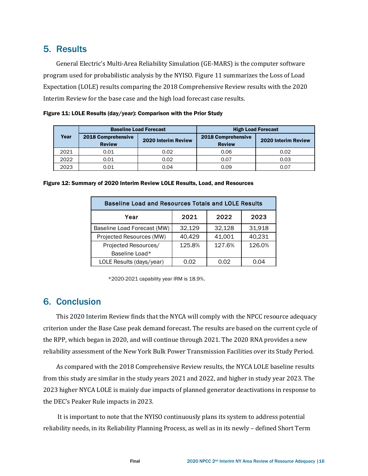## 5. Results

General Electric's Multi-Area Reliability Simulation (GE-MARS) is the computer software program used for probabilistic analysis by the NYISO. [Figure 11](#page-15-0) summarizes the Loss of Load Expectation (LOLE) results comparing the 2018 Comprehensive Review results with the 2020 Interim Review for the base case and the high load forecast case results.

<span id="page-15-0"></span>

|  | Figure 11: LOLE Results (day/year): Comparison with the Prior Study |  |
|--|---------------------------------------------------------------------|--|
|--|---------------------------------------------------------------------|--|

| Year | <b>Baseline Load Forecast</b>       |                     | <b>High Load Forecast</b>           |                     |
|------|-------------------------------------|---------------------|-------------------------------------|---------------------|
|      | 2018 Comprehensive<br><b>Review</b> | 2020 Interim Review | 2018 Comprehensive<br><b>Review</b> | 2020 Interim Review |
| 2021 | 0.01                                | 0.02                | 0.06                                | 0.02                |
| 2022 | 0.01                                | 0.02                | 0.07                                | 0.03                |
| 2023 | 0.01                                | 0.04                | 0.09                                | 0.07                |

| <b>Baseline Load and Resources Totals and LOLE Results</b> |        |        |        |  |  |  |
|------------------------------------------------------------|--------|--------|--------|--|--|--|
| Year                                                       | 2021   | 2022   | 2023   |  |  |  |
| Baseline Load Forecast (MW)                                | 32,129 | 32,128 | 31,918 |  |  |  |
| Projected Resources (MW)                                   | 40,429 | 41,001 | 40,231 |  |  |  |
| Projected Resources/                                       | 125.8% | 127.6% | 126.0% |  |  |  |
| Baseline Load*                                             |        |        |        |  |  |  |
| LOLE Results (days/year)                                   | 0.02   | 0.02   | 0 04   |  |  |  |

Figure 12: Summary of 2020 Interim Review LOLE Results, Load, and Resources

\*2020-2021 capability year IRM is 18.9%.

## 6. Conclusion

This 2020 Interim Review finds that the NYCA will comply with the NPCC resource adequacy criterion under the Base Case peak demand forecast. The results are based on the current cycle of the RPP, which began in 2020, and will continue through 2021. The 2020 RNA provides a new reliability assessment of the New York Bulk Power Transmission Facilities over its Study Period.

As compared with the 2018 Comprehensive Review results, the NYCA LOLE baseline results from this study are similar in the study years 2021 and 2022, and higher in study year 2023. The 2023 higher NYCA LOLE is mainly due impacts of planned generator deactivations in response to the DEC's Peaker Rule impacts in 2023.

It is important to note that the NYISO continuously plans its system to address potential reliability needs, in its Reliability Planning Process, as well as in its newly – defined Short Term